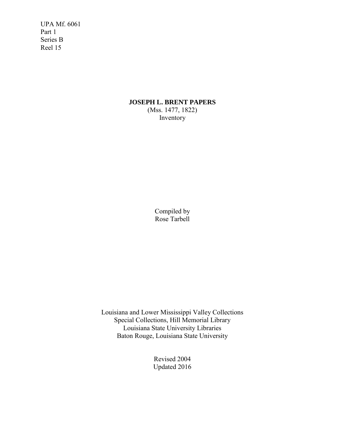UPA Mf. 6061 Part 1 Series B Reel 15

## **JOSEPH L. BRENT PAPERS** (Mss. 1477, 1822) Inventory

Compiled by Rose Tarbell

Louisiana and Lower Mississippi Valley Collections Special Collections, Hill Memorial Library Louisiana State University Libraries Baton Rouge, Louisiana State University

> Revised 2004 Updated 2016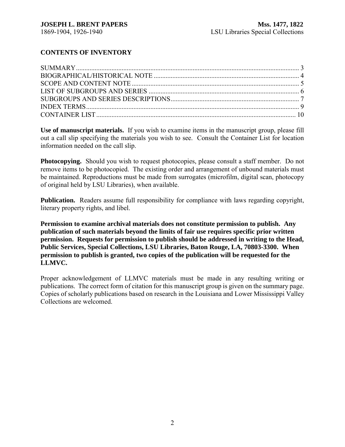# **CONTENTS OF INVENTORY**

**Use of manuscript materials.** If you wish to examine items in the manuscript group, please fill out a call slip specifying the materials you wish to see. Consult the Container List for location information needed on the call slip.

**Photocopying.** Should you wish to request photocopies, please consult a staff member. Do not remove items to be photocopied. The existing order and arrangement of unbound materials must be maintained. Reproductions must be made from surrogates (microfilm, digital scan, photocopy of original held by LSU Libraries), when available.

**Publication.** Readers assume full responsibility for compliance with laws regarding copyright, literary property rights, and libel.

**Permission to examine archival materials does not constitute permission to publish. Any publication of such materials beyond the limits of fair use requires specific prior written permission. Requests for permission to publish should be addressed in writing to the Head, Public Services, Special Collections, LSU Libraries, Baton Rouge, LA, 70803-3300. When permission to publish is granted, two copies of the publication will be requested for the LLMVC.**

Proper acknowledgement of LLMVC materials must be made in any resulting writing or publications. The correct form of citation for this manuscript group is given on the summary page. Copies of scholarly publications based on research in the Louisiana and Lower Mississippi Valley Collections are welcomed.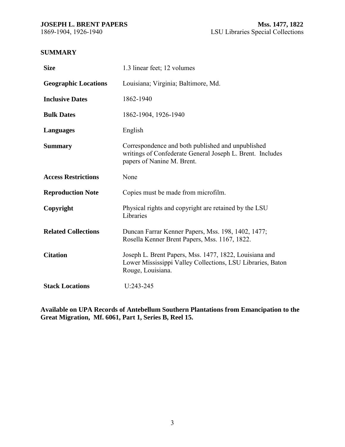## <span id="page-2-0"></span>**SUMMARY**

| <b>Size</b>                 | 1.3 linear feet; 12 volumes                                                                                                                  |
|-----------------------------|----------------------------------------------------------------------------------------------------------------------------------------------|
| <b>Geographic Locations</b> | Louisiana; Virginia; Baltimore, Md.                                                                                                          |
| <b>Inclusive Dates</b>      | 1862-1940                                                                                                                                    |
| <b>Bulk Dates</b>           | 1862-1904, 1926-1940                                                                                                                         |
| <b>Languages</b>            | English                                                                                                                                      |
| <b>Summary</b>              | Correspondence and both published and unpublished<br>writings of Confederate General Joseph L. Brent. Includes<br>papers of Nanine M. Brent. |
| <b>Access Restrictions</b>  | None                                                                                                                                         |
| <b>Reproduction Note</b>    | Copies must be made from microfilm.                                                                                                          |
| Copyright                   | Physical rights and copyright are retained by the LSU<br>Libraries                                                                           |
| <b>Related Collections</b>  | Duncan Farrar Kenner Papers, Mss. 198, 1402, 1477;<br>Rosella Kenner Brent Papers, Mss. 1167, 1822.                                          |
| <b>Citation</b>             | Joseph L. Brent Papers, Mss. 1477, 1822, Louisiana and<br>Lower Mississippi Valley Collections, LSU Libraries, Baton<br>Rouge, Louisiana.    |
| <b>Stack Locations</b>      | $U:243-245$                                                                                                                                  |

**Available on UPA Records of Antebellum Southern Plantations from Emancipation to the Great Migration, Mf. 6061, Part 1, Series B, Reel 15.**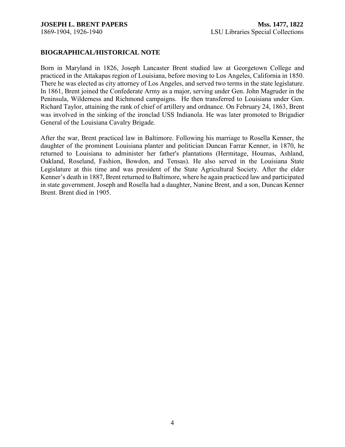#### <span id="page-3-0"></span>**BIOGRAPHICAL/HISTORICAL NOTE**

Born in Maryland in 1826, Joseph Lancaster Brent studied law at Georgetown College and practiced in the Attakapas region of Louisiana, before moving to Los Angeles, California in 1850. There he was elected as city attorney of Los Angeles, and served two terms in the state legislature. In 1861, Brent joined the Confederate Army as a major, serving under Gen. John Magruder in the Peninsula, Wilderness and Richmond campaigns. He then transferred to Louisiana under Gen. Richard Taylor, attaining the rank of chief of artillery and ordnance. On February 24, 1863, Brent was involved in the sinking of the ironclad USS Indianola. He was later promoted to Brigadier General of the Louisiana Cavalry Brigade.

After the war, Brent practiced law in Baltimore. Following his marriage to Rosella Kenner, the daughter of the prominent Louisiana planter and politician Duncan Farrar Kenner, in 1870, he returned to Louisiana to administer her father's plantations (Hermitage, Houmas, Ashland, Oakland, Roseland, Fashion, Bowdon, and Tensas). He also served in the Louisiana State Legislature at this time and was president of the State Agricultural Society. After the elder Kenner's death in 1887, Brent returned to Baltimore, where he again practiced law and participated in state government. Joseph and Rosella had a daughter, Nanine Brent, and a son, Duncan Kenner Brent. Brent died in 1905.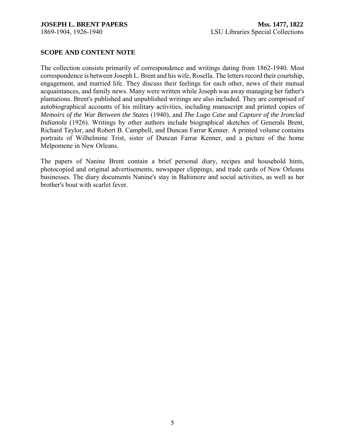## <span id="page-4-0"></span>**SCOPE AND CONTENT NOTE**

The collection consists primarily of correspondence and writings dating from 1862-1940. Most correspondence is between Joseph L. Brent and his wife, Rosella. The letters record their courtship, engagement, and married life. They discuss their feelings for each other, news of their mutual acquaintances, and family news. Many were written while Joseph was away managing her father's plantations. Brent's published and unpublished writings are also included. They are comprised of autobiographical accounts of his military activities, including manuscript and printed copies of *Memoirs of the War Between the States* (1940), and *The Lugo Case* and *Capture of the Ironclad Indianola* (1926). Writings by other authors include biographical sketches of Generals Brent, Richard Taylor, and Robert B. Campbell, and Duncan Farrar Kenner. A printed volume contains portraits of Wilhelmine Trist, sister of Duncan Farrar Kenner, and a picture of the home Melpomene in New Orleans.

The papers of Nanine Brent contain a brief personal diary, recipes and household hints, photocopied and original advertisements, newspaper clippings, and trade cards of New Orleans businesses. The diary documents Nanine's stay in Baltimore and social activities, as well as her brother's bout with scarlet fever.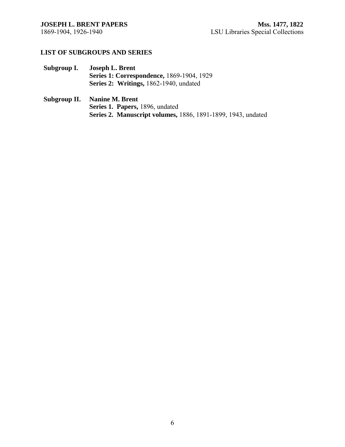## <span id="page-5-0"></span>**LIST OF SUBGROUPS AND SERIES**

**Subgroup I. Joseph L. Brent Series 1: Correspondence,** 1869-1904, 1929 **Series 2: Writings,** 1862-1940, undated

### **Subgroup II. Nanine M. Brent Series 1. Papers,** 1896, undated **Series 2. Manuscript volumes,** 1886, 1891-1899, 1943, undated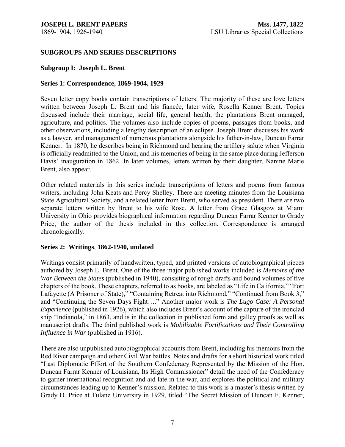### <span id="page-6-0"></span>**SUBGROUPS AND SERIES DESCRIPTIONS**

#### **Subgroup I: Joseph L. Brent**

#### **Series 1: Correspondence, 1869-1904, 1929**

Seven letter copy books contain transcriptions of letters. The majority of these are love letters written between Joseph L. Brent and his fiancée, later wife, Rosella Kenner Brent. Topics discussed include their marriage, social life, general health, the plantations Brent managed, agriculture, and politics. The volumes also include copies of poems, passages from books, and other observations, including a lengthy description of an eclipse. Joseph Brent discusses his work as a lawyer, and management of numerous plantations alongside his father-in-law, Duncan Farrar Kenner. In 1870, he describes being in Richmond and hearing the artillery salute when Virginia is officially readmitted to the Union, and his memories of being in the same place during Jefferson Davis' inauguration in 1862. In later volumes, letters written by their daughter, Nanine Marie Brent, also appear.

Other related materials in this series include transcriptions of letters and poems from famous writers, including John Keats and Percy Shelley. There are meeting minutes from the Louisiana State Agricultural Society, and a related letter from Brent, who served as president. There are two separate letters written by Brent to his wife Rose. A letter from Grace Glasgow at Miami University in Ohio provides biographical information regarding Duncan Farrar Kenner to Grady Price, the author of the thesis included in this collection. Correspondence is arranged chronologically.

#### **Series 2: Writings**, **1862-1940, undated**

Writings consist primarily of handwritten, typed, and printed versions of autobiographical pieces authored by Joseph L. Brent. One of the three major published works included is *Memoirs of the War Between the States* (published in 1940), consisting of rough drafts and bound volumes of five chapters of the book. These chapters, referred to as books, are labeled as "Life in California," "Fort Lafayette (A Prisoner of State)," "Containing Retreat into Richmond," "Continued from Book 3," and "Continuing the Seven Days Fight…." Another major work is *The Lugo Case: A Personal Experience* (published in 1926), which also includes Brent's account of the capture of the ironclad ship "Indianola," in 1863, and is in the collection in published form and galley proofs as well as manuscript drafts. The third published work is *Mobilizable Fortifications and Their Controlling Influence in War* (published in 1916).

There are also unpublished autobiographical accounts from Brent, including his memoirs from the Red River campaign and other Civil War battles. Notes and drafts for a short historical work titled "Last Diplomatic Effort of the Southern Confederacy Represented by the Mission of the Hon. Duncan Farrar Kenner of Louisiana, Its High Commissioner" detail the need of the Confederacy to garner international recognition and aid late in the war, and explores the political and military circumstances leading up to Kenner's mission. Related to this work is a master's thesis written by Grady D. Price at Tulane University in 1929, titled "The Secret Mission of Duncan F. Kenner,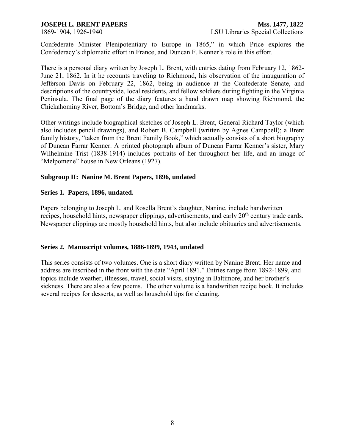Confederate Minister Plenipotentiary to Europe in 1865," in which Price explores the Confederacy's diplomatic effort in France, and Duncan F. Kenner's role in this effort.

There is a personal diary written by Joseph L. Brent, with entries dating from February 12, 1862- June 21, 1862. In it he recounts traveling to Richmond, his observation of the inauguration of Jefferson Davis on February 22, 1862, being in audience at the Confederate Senate, and descriptions of the countryside, local residents, and fellow soldiers during fighting in the Virginia Peninsula. The final page of the diary features a hand drawn map showing Richmond, the Chickahominy River, Bottom's Bridge, and other landmarks.

Other writings include biographical sketches of Joseph L. Brent, General Richard Taylor (which also includes pencil drawings), and Robert B. Campbell (written by Agnes Campbell); a Brent family history, "taken from the Brent Family Book," which actually consists of a short biography of Duncan Farrar Kenner. A printed photograph album of Duncan Farrar Kenner's sister, Mary Wilhelmine Trist (1838-1914) includes portraits of her throughout her life, and an image of "Melpomene" house in New Orleans (1927).

## **Subgroup II: Nanine M. Brent Papers, 1896, undated**

## **Series 1. Papers, 1896, undated.**

Papers belonging to Joseph L. and Rosella Brent's daughter, Nanine, include handwritten recipes, household hints, newspaper clippings, advertisements, and early 20<sup>th</sup> century trade cards. Newspaper clippings are mostly household hints, but also include obituaries and advertisements.

## **Series 2. Manuscript volumes, 1886-1899, 1943, undated**

This series consists of two volumes. One is a short diary written by Nanine Brent. Her name and address are inscribed in the front with the date "April 1891." Entries range from 1892-1899, and topics include weather, illnesses, travel, social visits, staying in Baltimore, and her brother's sickness. There are also a few poems. The other volume is a handwritten recipe book. It includes several recipes for desserts, as well as household tips for cleaning.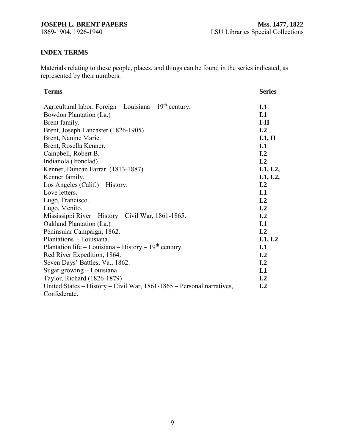# <span id="page-8-0"></span>**INDEX TERMS**

Materials relating to these people, places, and things can be found in the series indicated, as represented by their numbers.

| <b>Terms</b>                                                          | <b>Series</b>    |
|-----------------------------------------------------------------------|------------------|
| Agricultural labor, Foreign – Louisiana – $19th$ century.             | I.1              |
| Bowdon Plantation (La.)                                               | I.1              |
| Brent family.                                                         | $I-II$           |
| Brent, Joseph Lancaster (1826-1905)                                   | I <sub>1.2</sub> |
| Brent, Nanine Marie.                                                  | I.1, II          |
| Brent, Rosella Kenner.                                                | I.1              |
| Campbell, Robert B.                                                   | I.2              |
| Indianola (Ironclad)                                                  | I <sub>1</sub> 2 |
| Kenner, Duncan Farrar. (1813-1887)                                    | I.1, I.2,        |
| Kenner family.                                                        | I.1, I.2,        |
| Los Angeles (Calif.) – History.                                       | I <sub>1</sub> 2 |
| Love letters.                                                         | I.1              |
| Lugo, Francisco.                                                      | I <sub>1.2</sub> |
| Lugo, Menito.                                                         | I <sub>1.2</sub> |
| Mississippi River - History - Civil War, 1861-1865.                   | I <sub>1.2</sub> |
| Oakland Plantation (La.)                                              | I <sub>1</sub>   |
| Peninsular Campaign, 1862.                                            | I <sub>1</sub> 2 |
| Plantations - Louisiana.                                              | I.1, I.2         |
| Plantation life – Louisiana – History – $19th$ century.               | I.1              |
| Red River Expedition, 1864.                                           | I.2              |
| Seven Days' Battles, Va., 1862.                                       | I <sub>1.2</sub> |
| Sugar growing – Louisiana.                                            | I.1              |
| Taylor, Richard (1826-1879)                                           | I.2              |
| United States – History – Civil War, 1861-1865 – Personal narratives, | I <sub>1.2</sub> |
| Confederate.                                                          |                  |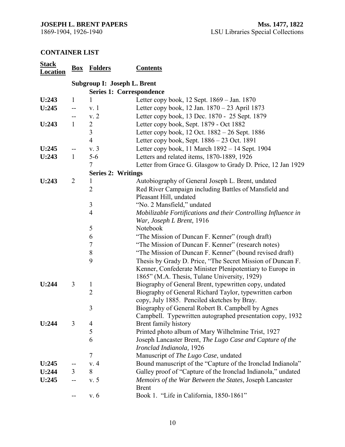## <span id="page-9-0"></span>**CONTAINER LIST**

| <b>Stack</b><br><b>Location</b> |                | <b>Box</b> Folders              | <b>Contents</b>                                                                   |  |  |
|---------------------------------|----------------|---------------------------------|-----------------------------------------------------------------------------------|--|--|
|                                 |                | Subgroup I: Joseph L. Brent     |                                                                                   |  |  |
|                                 |                | <b>Series 1: Correspondence</b> |                                                                                   |  |  |
| U:243                           | $\mathbf{1}$   | 1                               | Letter copy book, 12 Sept. 1869 – Jan. 1870                                       |  |  |
| U:245                           | $-$            | v <sub>r</sub>                  | Letter copy book, 12 Jan. 1870 – 23 April 1873                                    |  |  |
|                                 |                | v. 2                            | Letter copy book, 13 Dec. 1870 - 25 Sept. 1879                                    |  |  |
| U:243                           | $\mathbf{1}$   | $\overline{2}$                  | Letter copy book, Sept. 1879 - Oct 1882                                           |  |  |
|                                 |                | $\mathfrak{Z}$                  | Letter copy book, 12 Oct. 1882 – 26 Sept. 1886                                    |  |  |
|                                 |                | $\overline{4}$                  | Letter copy book, Sept. 1886 – 23 Oct. 1891                                       |  |  |
| U:245                           |                | v. 3                            | Letter copy book, 11 March 1892 - 14 Sept. 1904                                   |  |  |
| U:243                           | $\mathbf{1}$   | $5-6$                           | Letters and related items, 1870-1889, 1926                                        |  |  |
|                                 |                | 7                               | Letter from Grace G. Glasgow to Grady D. Price, 12 Jan 1929                       |  |  |
|                                 |                | <b>Series 2: Writings</b>       |                                                                                   |  |  |
| U:243                           | $\overline{2}$ | 1                               | Autobiography of General Joseph L. Brent, undated                                 |  |  |
|                                 |                | $\overline{2}$                  | Red River Campaign including Battles of Mansfield and                             |  |  |
|                                 |                |                                 | Pleasant Hill, undated                                                            |  |  |
|                                 |                | 3                               | "No. 2 Mansfield," undated                                                        |  |  |
|                                 |                | $\overline{4}$                  | Mobilizable Fortifications and their Controlling Influence in                     |  |  |
|                                 |                |                                 | War, Joseph L Brent, 1916                                                         |  |  |
|                                 |                | 5                               | Notebook                                                                          |  |  |
|                                 |                | 6                               | "The Mission of Duncan F. Kenner" (rough draft)                                   |  |  |
|                                 |                | 7                               | "The Mission of Duncan F. Kenner" (research notes)                                |  |  |
|                                 |                | $\,8\,$                         | "The Mission of Duncan F. Kenner" (bound revised draft)                           |  |  |
|                                 |                | 9                               | Thesis by Grady D. Price, "The Secret Mission of Duncan F.                        |  |  |
|                                 |                |                                 | Kenner, Confederate Minister Plenipotentiary to Europe in                         |  |  |
|                                 |                |                                 | 1865" (M.A. Thesis, Tulane University, 1929)                                      |  |  |
| U:244                           | 3              | $\mathbf{1}$                    | Biography of General Brent, typewritten copy, undated                             |  |  |
|                                 |                | $\overline{2}$                  | Biography of General Richard Taylor, typewritten carbon                           |  |  |
|                                 |                |                                 | copy, July 1885. Penciled sketches by Bray.                                       |  |  |
|                                 |                | 3                               | Biography of General Robert B. Campbell by Agnes                                  |  |  |
| U:244                           | 3              | 4                               | Campbell. Typewritten autographed presentation copy, 1932<br>Brent family history |  |  |
|                                 |                | 5                               | Printed photo album of Mary Wilhelmine Trist, 1927                                |  |  |
|                                 |                | 6                               | Joseph Lancaster Brent, The Lugo Case and Capture of the                          |  |  |
|                                 |                |                                 | Ironclad Indianola, 1926                                                          |  |  |
|                                 |                | $\tau$                          | Manuscript of The Lugo Case, undated                                              |  |  |
| U:245                           |                | v.4                             | Bound manuscript of the "Capture of the Ironclad Indianola"                       |  |  |
| U:244                           | 3              | 8                               | Galley proof of "Capture of the Ironclad Indianola," undated                      |  |  |
| U:245                           |                | v.5                             | Memoirs of the War Between the States, Joseph Lancaster                           |  |  |
|                                 |                |                                 | <b>Brent</b>                                                                      |  |  |
|                                 | --             | v.6                             | Book 1. "Life in California, 1850-1861"                                           |  |  |